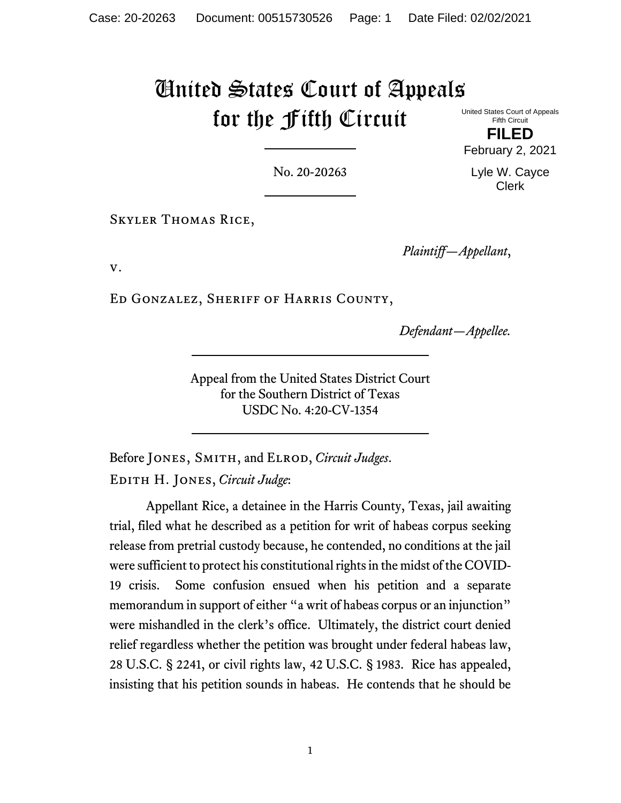## United States Court of Appeals for the Fifth Circuit

United States Court of Appeals Fifth Circuit

**FILED** February 2, 2021

Lyle W. Cayce Clerk

No. 20-20263

Skyler Thomas Rice,

*Plaintiff—Appellant*,

v.

Ed Gonzalez, Sheriff of Harris County,

*Defendant—Appellee.*

Appeal from the United States District Court for the Southern District of Texas USDC No. 4:20-CV-1354

Before Jones, Smith, and Elrod, *Circuit Judges*. Edith H. Jones, *Circuit Judge*:

Appellant Rice, a detainee in the Harris County, Texas, jail awaiting trial, filed what he described as a petition for writ of habeas corpus seeking release from pretrial custody because, he contended, no conditions at the jail were sufficient to protect his constitutional rights in the midst of the COVID-19 crisis. Some confusion ensued when his petition and a separate memorandum in support of either "a writ of habeas corpus or an injunction" were mishandled in the clerk's office. Ultimately, the district court denied relief regardless whether the petition was brought under federal habeas law, 28 U.S.C. § 2241, or civil rights law, 42 U.S.C. § 1983. Rice has appealed, insisting that his petition sounds in habeas. He contends that he should be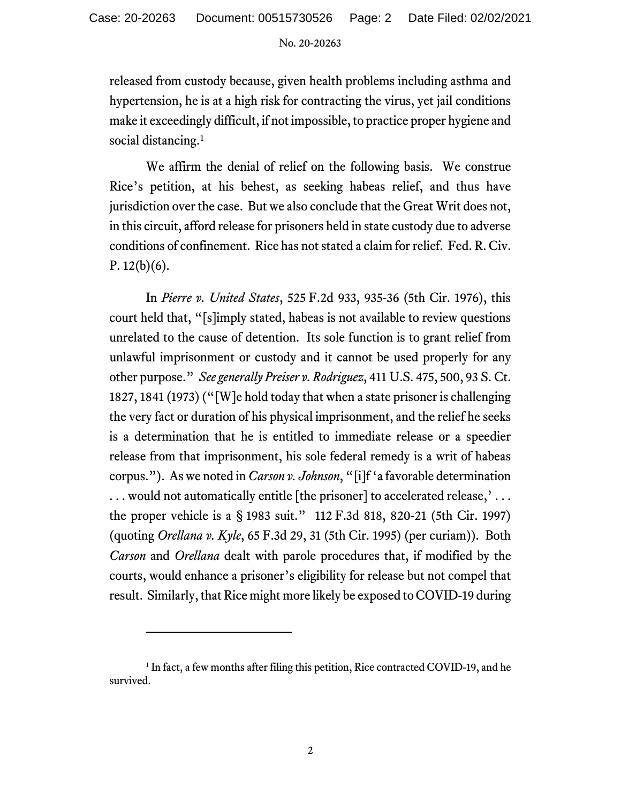No. 20-20263

released from custody because, given health problems including asthma and hypertension, he is at a high risk for contracting the virus, yet jail conditions make it exceedingly difficult, if not impossible, to practice proper hygiene and social distancing.<sup>[1](#page-1-0)</sup>

We affirm the denial of relief on the following basis. We construe Rice's petition, at his behest, as seeking habeas relief, and thus have jurisdiction over the case. But we also conclude that the Great Writ does not, in this circuit, afford release for prisoners held in state custody due to adverse conditions of confinement. Rice has not stated a claim for relief. Fed. R. Civ. P.  $12(b)(6)$ .

In *Pierre v. United States*, 525 F.2d 933, 935-36 (5th Cir. 1976), this court held that, "[s]imply stated, habeas is not available to review questions unrelated to the cause of detention. Its sole function is to grant relief from unlawful imprisonment or custody and it cannot be used properly for any other purpose." *See generally Preiser v. Rodriguez*, 411 U.S. 475, 500, 93 S. Ct. 1827, 1841 (1973) ("[W]e hold today that when a state prisoner is challenging the very fact or duration of his physical imprisonment, and the relief he seeks is a determination that he is entitled to immediate release or a speedier release from that imprisonment, his sole federal remedy is a writ of habeas corpus."). As we noted in *Carson v. Johnson*, "[i]f 'a favorable determination ... would not automatically entitle [the prisoner] to accelerated release,'... the proper vehicle is a § 1983 suit." 112 F.3d 818, 820-21 (5th Cir. 1997) (quoting *Orellana v. Kyle*, 65 F.3d 29, 31 (5th Cir. 1995) (per curiam)). Both *Carson* and *Orellana* dealt with parole procedures that, if modified by the courts, would enhance a prisoner's eligibility for release but not compel that result. Similarly, that Rice might more likely be exposed to COVID-19 during

<span id="page-1-0"></span><sup>&</sup>lt;sup>1</sup> In fact, a few months after filing this petition, Rice contracted COVID-19, and he survived.